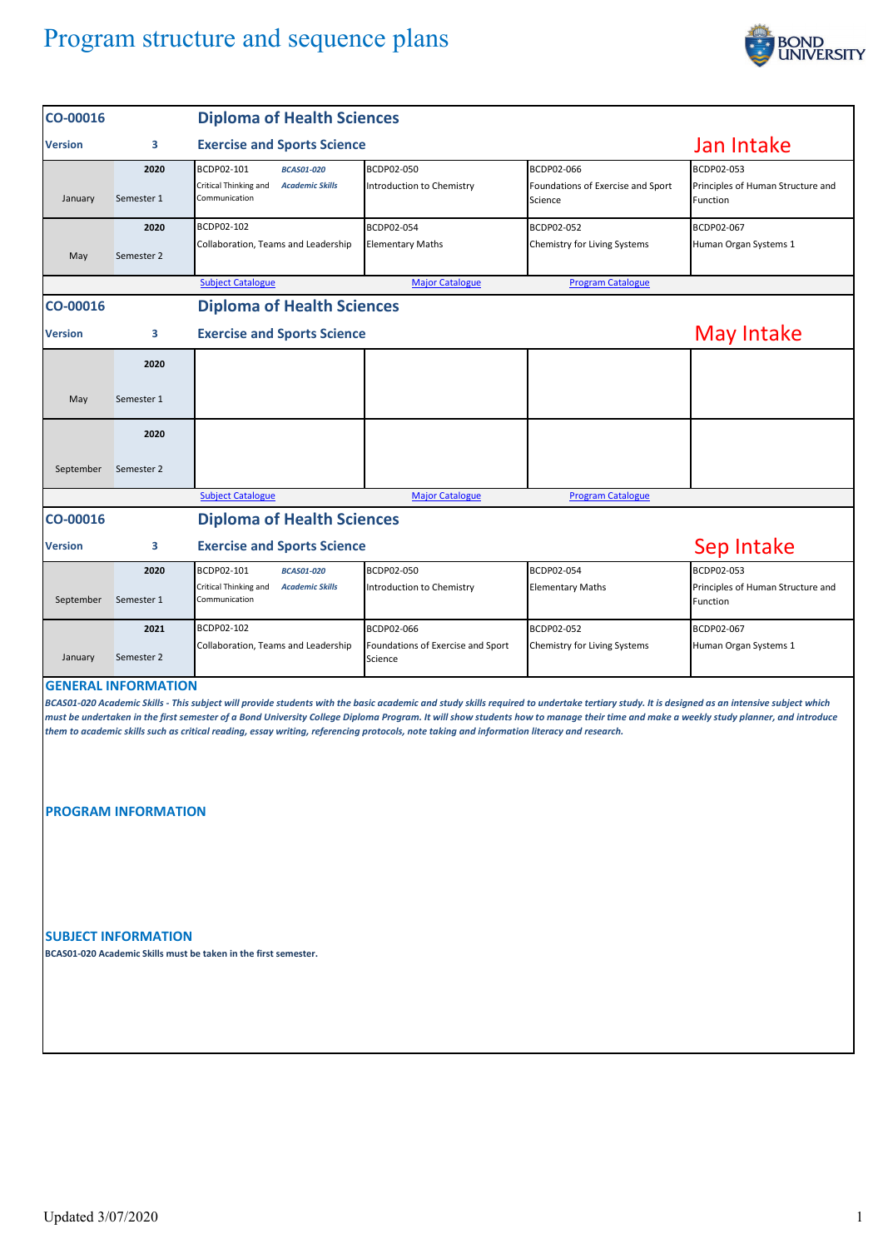## Program structure and sequence plans



| CO-00016       |                                                          | <b>Diploma of Health Sciences</b>                                                                                                                                                                                                                                                                                                                                                                                                                                                                                                 |                                              |                                                            |                                                             |  |  |
|----------------|----------------------------------------------------------|-----------------------------------------------------------------------------------------------------------------------------------------------------------------------------------------------------------------------------------------------------------------------------------------------------------------------------------------------------------------------------------------------------------------------------------------------------------------------------------------------------------------------------------|----------------------------------------------|------------------------------------------------------------|-------------------------------------------------------------|--|--|
| <b>Version</b> | 3                                                        | <b>Exercise and Sports Science</b>                                                                                                                                                                                                                                                                                                                                                                                                                                                                                                | Jan Intake                                   |                                                            |                                                             |  |  |
| January        | 2020<br>Semester 1                                       | BCDP02-101<br><b>BCAS01-020</b><br>Critical Thinking and<br><b>Academic Skills</b><br>Communication                                                                                                                                                                                                                                                                                                                                                                                                                               | BCDP02-050<br>Introduction to Chemistry      | BCDP02-066<br>Foundations of Exercise and Sport<br>Science | BCDP02-053<br>Principles of Human Structure and<br>Function |  |  |
| May            | 2020<br>Semester 2                                       | BCDP02-102<br>Collaboration, Teams and Leadership                                                                                                                                                                                                                                                                                                                                                                                                                                                                                 | BCDP02-054<br><b>Elementary Maths</b>        | BCDP02-052<br>Chemistry for Living Systems                 | BCDP02-067<br>Human Organ Systems 1                         |  |  |
|                |                                                          | <b>Subject Catalogue</b>                                                                                                                                                                                                                                                                                                                                                                                                                                                                                                          | <b>Major Catalogue</b>                       | <b>Program Catalogue</b>                                   |                                                             |  |  |
| CO-00016       |                                                          | <b>Diploma of Health Sciences</b>                                                                                                                                                                                                                                                                                                                                                                                                                                                                                                 |                                              |                                                            |                                                             |  |  |
| Version        | 3                                                        | <b>Exercise and Sports Science</b>                                                                                                                                                                                                                                                                                                                                                                                                                                                                                                | May Intake                                   |                                                            |                                                             |  |  |
|                | 2020                                                     |                                                                                                                                                                                                                                                                                                                                                                                                                                                                                                                                   |                                              |                                                            |                                                             |  |  |
| May            | Semester 1                                               |                                                                                                                                                                                                                                                                                                                                                                                                                                                                                                                                   |                                              |                                                            |                                                             |  |  |
|                | 2020                                                     |                                                                                                                                                                                                                                                                                                                                                                                                                                                                                                                                   |                                              |                                                            |                                                             |  |  |
| September      | Semester 2                                               |                                                                                                                                                                                                                                                                                                                                                                                                                                                                                                                                   |                                              |                                                            |                                                             |  |  |
|                |                                                          | <b>Subject Catalogue</b>                                                                                                                                                                                                                                                                                                                                                                                                                                                                                                          | <b>Major Catalogue</b>                       | <b>Program Catalogue</b>                                   |                                                             |  |  |
| CO-00016       | <b>Diploma of Health Sciences</b>                        |                                                                                                                                                                                                                                                                                                                                                                                                                                                                                                                                   |                                              |                                                            |                                                             |  |  |
| <b>Version</b> | 3                                                        | Sep Intake<br><b>Exercise and Sports Science</b>                                                                                                                                                                                                                                                                                                                                                                                                                                                                                  |                                              |                                                            |                                                             |  |  |
| September      | 2020<br>Semester 1                                       | BCDP02-101<br><b>BCAS01-020</b><br>Critical Thinking and<br><b>Academic Skills</b><br>Communication                                                                                                                                                                                                                                                                                                                                                                                                                               | BCDP02-050<br>Introduction to Chemistry      | BCDP02-054<br><b>Elementary Maths</b>                      | BCDP02-053<br>Principles of Human Structure and<br>Function |  |  |
|                | 2021                                                     | BCDP02-102                                                                                                                                                                                                                                                                                                                                                                                                                                                                                                                        | BCDP02-066                                   | BCDP02-052                                                 | BCDP02-067                                                  |  |  |
| January        | Semester 2                                               | Collaboration, Teams and Leadership                                                                                                                                                                                                                                                                                                                                                                                                                                                                                               | Foundations of Exercise and Sport<br>Science | Chemistry for Living Systems                               | Human Organ Systems 1                                       |  |  |
|                | <b>GENERAL INFORMATION</b><br><b>PROGRAM INFORMATION</b> | BCAS01-020 Academic Skills - This subject will provide students with the basic academic and study skills required to undertake tertiary study. It is designed as an intensive subject which<br>must be undertaken in the first semester of a Bond University College Diploma Program. It will show students how to manage their time and make a weekly study planner, and introduce<br>them to academic skills such as critical reading, essay writing, referencing protocols, note taking and information literacy and research. |                                              |                                                            |                                                             |  |  |

**SUBJECT INFORMATION**

**BCAS01-020 Academic Skills must be taken in the first semester.**